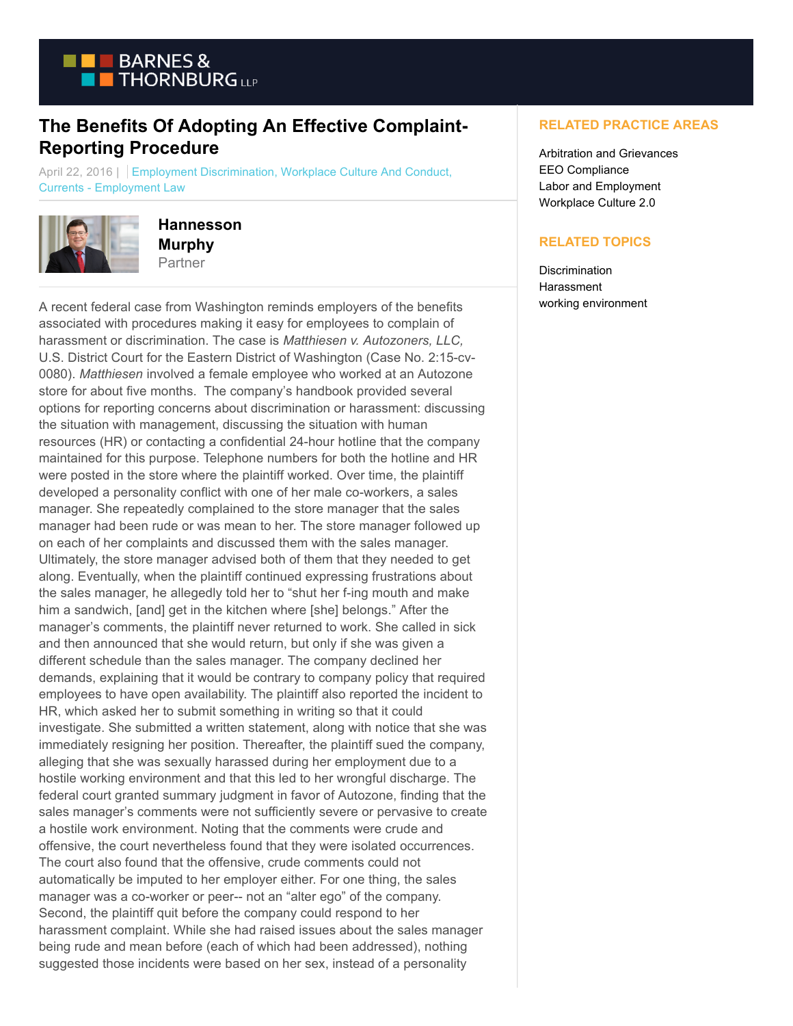

## **The Benefits Of Adopting An Effective Complaint-Reporting Procedure**

April 22, 2016 | Employment Discrimination, Workplace Culture And Conduct, Currents - Employment Law



**Hannesson Murphy** Partner

A recent federal case from Washington reminds employers of the benefits associated with procedures making it easy for employees to complain of harassment or discrimination. The case is *Matthiesen v. Autozoners, LLC,* U.S. District Court for the Eastern District of Washington (Case No. 2:15-cv-0080). *Matthiesen* involved a female employee who worked at an Autozone store for about five months. The company's handbook provided several options for reporting concerns about discrimination or harassment: discussing the situation with management, discussing the situation with human resources (HR) or contacting a confidential 24-hour hotline that the company maintained for this purpose. Telephone numbers for both the hotline and HR were posted in the store where the plaintiff worked. Over time, the plaintiff developed a personality conflict with one of her male co-workers, a sales manager. She repeatedly complained to the store manager that the sales manager had been rude or was mean to her. The store manager followed up on each of her complaints and discussed them with the sales manager. Ultimately, the store manager advised both of them that they needed to get along. Eventually, when the plaintiff continued expressing frustrations about the sales manager, he allegedly told her to "shut her f-ing mouth and make him a sandwich, [and] get in the kitchen where [she] belongs." After the manager's comments, the plaintiff never returned to work. She called in sick and then announced that she would return, but only if she was given a different schedule than the sales manager. The company declined her demands, explaining that it would be contrary to company policy that required employees to have open availability. The plaintiff also reported the incident to HR, which asked her to submit something in writing so that it could investigate. She submitted a written statement, along with notice that she was immediately resigning her position. Thereafter, the plaintiff sued the company, alleging that she was sexually harassed during her employment due to a hostile working environment and that this led to her wrongful discharge. The federal court granted summary judgment in favor of Autozone, finding that the sales manager's comments were not sufficiently severe or pervasive to create a hostile work environment. Noting that the comments were crude and offensive, the court nevertheless found that they were isolated occurrences. The court also found that the offensive, crude comments could not automatically be imputed to her employer either. For one thing, the sales manager was a co-worker or peer-- not an "alter ego" of the company. Second, the plaintiff quit before the company could respond to her harassment complaint. While she had raised issues about the sales manager being rude and mean before (each of which had been addressed), nothing suggested those incidents were based on her sex, instead of a personality

## **RELATED PRACTICE AREAS**

Arbitration and Grievances EEO Compliance Labor and Employment Workplace Culture 2.0

## **RELATED TOPICS**

**Discrimination Harassment** working environment